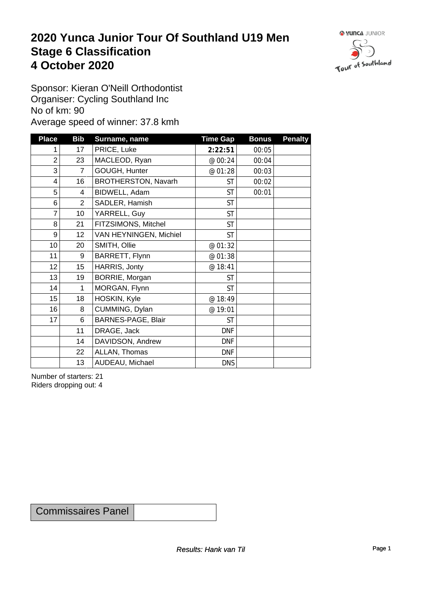### **2020 Yunca Junior Tour Of Southland U19 Men** Stage 6 Classification<br>4 October 2020 **4 October 2020**



Sponsor: Kieran O'Neill Orthodontist Organiser: Cycling Southland Inc No of km: 90 Average speed of winner: 37.8 kmh

| <b>Place</b>            | <b>Bib</b>      | Surname, name          | <b>Time Gap</b> | <b>Bonus</b> | <b>Penalty</b> |
|-------------------------|-----------------|------------------------|-----------------|--------------|----------------|
|                         | 17              | PRICE, Luke            | 2:22:51         | 00:05        |                |
| $\overline{c}$          | 23              | MACLEOD, Ryan          | @ 00:24         | 00:04        |                |
| 3                       | $\overline{7}$  | GOUGH, Hunter          | @ 01:28         | 00:03        |                |
| $\overline{\mathbf{4}}$ | 16              | BROTHERSTON, Navarh    | <b>ST</b>       | 00:02        |                |
| 5                       | 4               | BIDWELL, Adam          | <b>ST</b>       | 00:01        |                |
| 6                       | $\overline{2}$  | SADLER, Hamish         | <b>ST</b>       |              |                |
| 7                       | 10 <sup>1</sup> | YARRELL, Guy           | <b>ST</b>       |              |                |
| 8                       | 21              | FITZSIMONS, Mitchel    | <b>ST</b>       |              |                |
| 9                       | 12              | VAN HEYNINGEN, Michiel | <b>ST</b>       |              |                |
| 10 <sup>1</sup>         | 20              | SMITH, Ollie           | @ 01:32         |              |                |
| 11                      | $9\,$           | BARRETT, Flynn         | @ 01:38         |              |                |
| 12                      | 15              | HARRIS, Jonty          | @ 18:41         |              |                |
| 13                      | 19              | BORRIE, Morgan         | <b>ST</b>       |              |                |
| 14                      | 1               | MORGAN, Flynn          | <b>ST</b>       |              |                |
| 15                      | 18              | HOSKIN, Kyle           | @ 18:49         |              |                |
| 16                      | 8               | CUMMING, Dylan         | @ 19:01         |              |                |
| 17                      | 6               | BARNES-PAGE, Blair     | <b>ST</b>       |              |                |
|                         | 11              | DRAGE, Jack            | <b>DNF</b>      |              |                |
|                         | 14              | DAVIDSON, Andrew       | <b>DNF</b>      |              |                |
|                         | 22              | ALLAN, Thomas          | <b>DNF</b>      |              |                |
|                         | 13              | AUDEAU, Michael        | <b>DNS</b>      |              |                |

Number of starters: 21 Riders dropping out: 4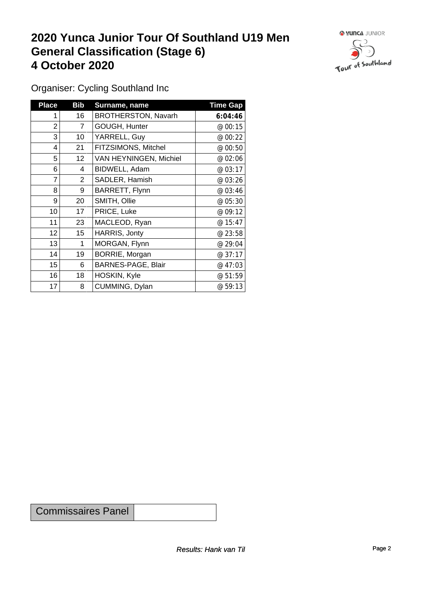## **2020 Yunca Junior Tour Of Southland U19 Men General Classification (Stage 6)**<br>
4 October 2020 **4 October 2020**



Organiser: Cycling Southland Inc

| <b>Place</b>   | <b>Bib</b>     | Surname, name              | <b>Time Gap</b> |
|----------------|----------------|----------------------------|-----------------|
|                | 16             | <b>BROTHERSTON, Navarh</b> | 6:04:46         |
| $\overline{2}$ | $\overline{7}$ | GOUGH, Hunter              | @ 00:15         |
| 3              | 10             | YARRELL, Guy               | @ 00:22         |
| 4              | 21             | FITZSIMONS, Mitchel        | @ 00:50         |
| 5              | 12             | VAN HEYNINGEN, Michiel     | @ 02:06         |
| 6              | 4              | BIDWELL, Adam              | @ 03:17         |
| 7              | $\overline{2}$ | SADLER, Hamish             | @ 03:26         |
| 8              | 9              | BARRETT, Flynn             | @ 03:46         |
| 9              | 20             | SMITH, Ollie               | @ 05:30         |
| 10             | 17             | PRICE, Luke                | @ 09:12         |
| 11             | 23             | MACLEOD, Ryan              | @15:47          |
| 12             | 15             | HARRIS, Jonty              | @ 23:58         |
| 13             | 1              | MORGAN, Flynn              | @ 29:04         |
| 14             | 19             | BORRIE, Morgan             | @37:17          |
| 15             | 6              | BARNES-PAGE, Blair         | @47:03          |
| 16             | 18             | HOSKIN, Kyle               | @ 51:59         |
| 17             | 8              | CUMMING, Dylan             | @ 59:13         |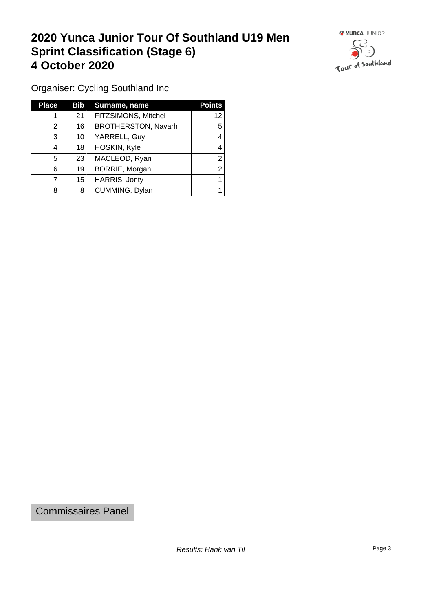## **2020 Yunca Junior Tour Of Southland U19 Men Sprint Classification (Stage 6) 4 October 2020**



Organiser: Cycling Southland Inc

| <b>Place</b> | Bib | Surname, name              | <b>Points</b> |
|--------------|-----|----------------------------|---------------|
|              | 21  | FITZSIMONS, Mitchel        | 12            |
| 2            | 16  | <b>BROTHERSTON, Navarh</b> | 5             |
| 3            | 10  | YARRELL, Guy               |               |
| 4            | 18  | HOSKIN, Kyle               |               |
| 5            | 23  | MACLEOD, Ryan              | ⌒             |
| 6            | 19  | BORRIE, Morgan             | ⌒             |
|              | 15  | HARRIS, Jonty              |               |
| 8            | 8   | CUMMING, Dylan             |               |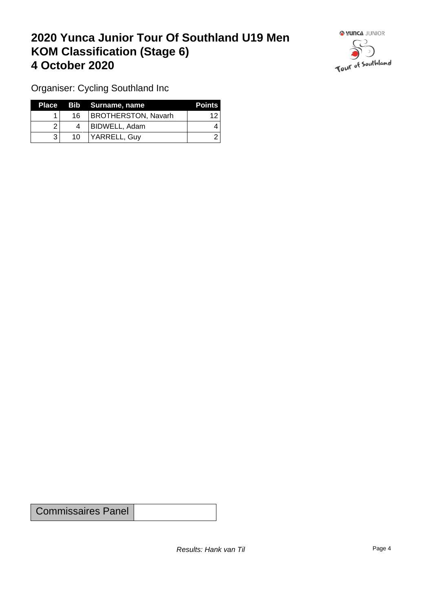## **2020 Yunca Junior Tour Of Southland U19 Men KOM Classification (Stage 6) 4 October 2020**



Organiser: Cycling Southland Inc

|    | Place Bib Surname, name | <b>Points</b> |
|----|-------------------------|---------------|
| 16 | BROTHERSTON, Navarh     | ィク            |
|    | BIDWELL, Adam           |               |
| 10 | YARRELL, Guv            |               |